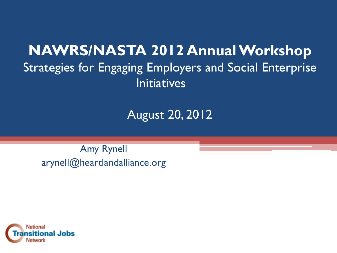### **NAWRS/NASTA 2012 Annual Workshop** Strategies for Engaging Employers and Social Enterprise **Initiatives**

August 20, 2012

Amy Rynell arynell@heartlandalliance.org

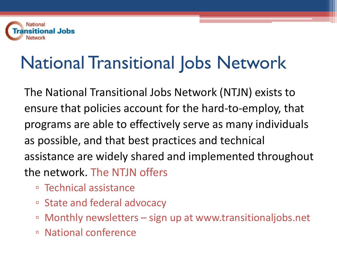

# National Transitional Jobs Network

The National Transitional Jobs Network (NTJN) exists to ensure that policies account for the hard-to-employ, that programs are able to effectively serve as many individuals as possible, and that best practices and technical assistance are widely shared and implemented throughout the network. The NTJN offers

- Technical assistance
- State and federal advocacy
- Monthly newsletters sign up at www.transitionaljobs.net
- National conference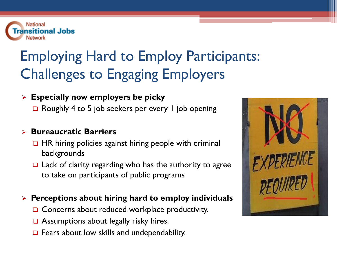

## Employing Hard to Employ Participants: Challenges to Engaging Employers

#### **Especially now employers be picky**

**□** Roughly 4 to 5 job seekers per every 1 job opening

#### **Bureaucratic Barriers**

- $\Box$  HR hiring policies against hiring people with criminal backgrounds
- $\Box$  Lack of clarity regarding who has the authority to agree to take on participants of public programs

#### **Perceptions about hiring hard to employ individuals**

- $\Box$  Concerns about reduced workplace productivity.
- **□** Assumptions about legally risky hires.
- $\Box$  Fears about low skills and undependability.

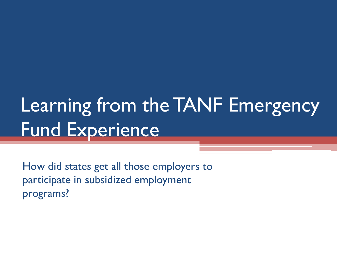# Learning from the TANF Emergency Fund Experience

How did states get all those employers to participate in subsidized employment programs?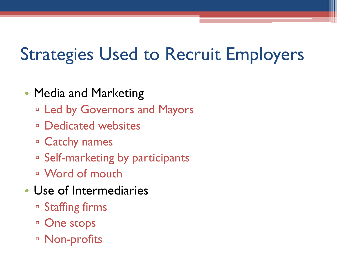# Strategies Used to Recruit Employers

#### • Media and Marketing

- Led by Governors and Mayors
- □ Dedicated websites
- Catchy names
- □ Self-marketing by participants
- Word of mouth
- Use of Intermediaries
	- Staffing firms
	- □ One stops
	- □ Non-profits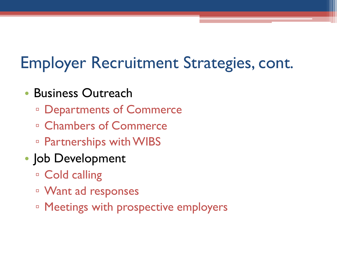## Employer Recruitment Strategies, cont.

- Business Outreach
	- Departments of Commerce
	- □ Chambers of Commerce
	- Partnerships with WIBS
- Job Development
	- Cold calling
	- Want ad responses
	- □ Meetings with prospective employers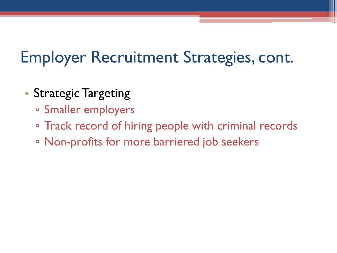## Employer Recruitment Strategies, cont.

- Strategic Targeting
	- Smaller employers
	- Track record of hiring people with criminal records
	- Non-profits for more barriered job seekers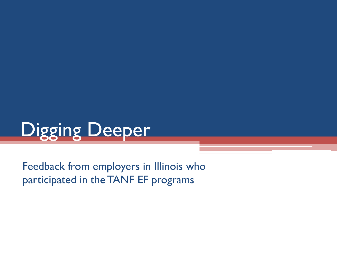

Feedback from employers in Illinois who participated in the TANF EF programs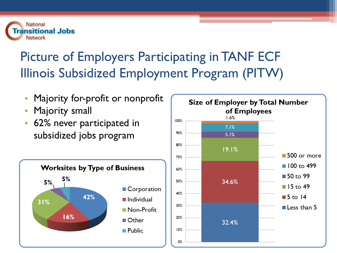

### Picture of Employers Participating in TANF ECF Illinois Subsidized Employment Program (PITW)

- Majority for-profit or nonprofit
- Majority small
- 62% never participated in subsidized jobs program



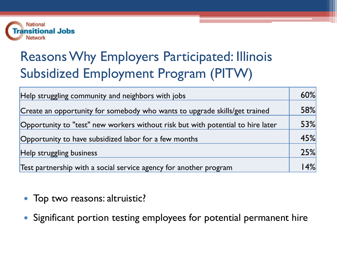

### Reasons Why Employers Participated: Illinois Subsidized Employment Program (PITW)

| Help struggling community and neighbors with jobs                               | 60%     |
|---------------------------------------------------------------------------------|---------|
| Create an opportunity for somebody who wants to upgrade skills/get trained      | 58%     |
| Opportunity to "test" new workers without risk but with potential to hire later | 53%     |
| Opportunity to have subsidized labor for a few months                           | 45%     |
| Help struggling business                                                        | 25%     |
| Test partnership with a social service agency for another program               | $ 4\% $ |

- Top two reasons: altruistic?
- Significant portion testing employees for potential permanent hire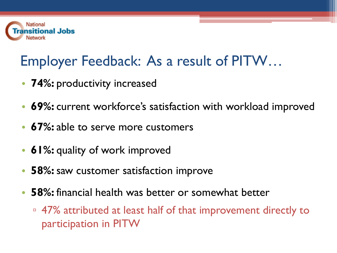

## Employer Feedback: As a result of PITW…

- **74%:** productivity increased
- **69%:** current workforce's satisfaction with workload improved
- **67%:** able to serve more customers
- **61%:** quality of work improved
- **58%:** saw customer satisfaction improve
- **58%:** financial health was better or somewhat better
	- 47% attributed at least half of that improvement directly to participation in PITW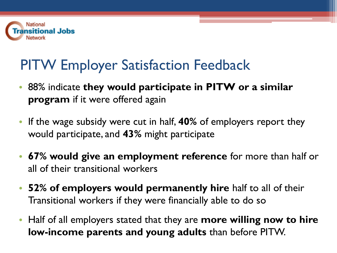

### PITW Employer Satisfaction Feedback

- 88% indicate **they would participate in PITW or a similar program** if it were offered again
- If the wage subsidy were cut in half, **40%** of employers report they would participate, and **43%** might participate
- **67% would give an employment reference** for more than half or all of their transitional workers
- **52% of employers would permanently hire** half to all of their Transitional workers if they were financially able to do so
- Half of all employers stated that they are **more willing now to hire low-income parents and young adults** than before PITW.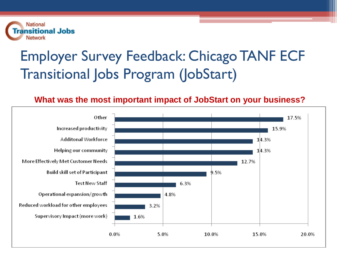

## Employer Survey Feedback: Chicago TANF ECF Transitional Jobs Program (JobStart)

#### **What was the most important impact of JobStart on your business?**

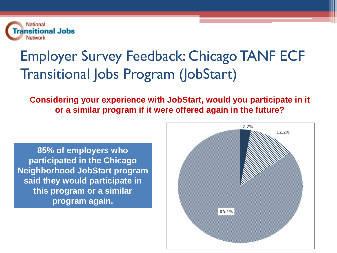

## Employer Survey Feedback: Chicago TANF ECF Transitional Jobs Program (JobStart)

**Considering your experience with JobStart, would you participate in it or a similar program if it were offered again in the future?**

**85% of employers who participated in the Chicago Neighborhood JobStart program said they would participate in this program or a similar program again.** 

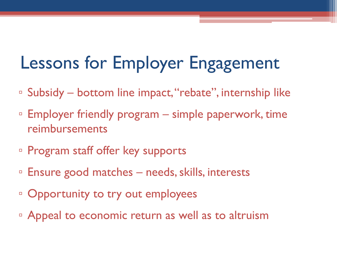# Lessons for Employer Engagement

- Subsidy bottom line impact, "rebate", internship like
- Employer friendly program simple paperwork, time reimbursements
- Program staff offer key supports
- □ Ensure good matches needs, skills, interests
- Opportunity to try out employees
- Appeal to economic return as well as to altruism